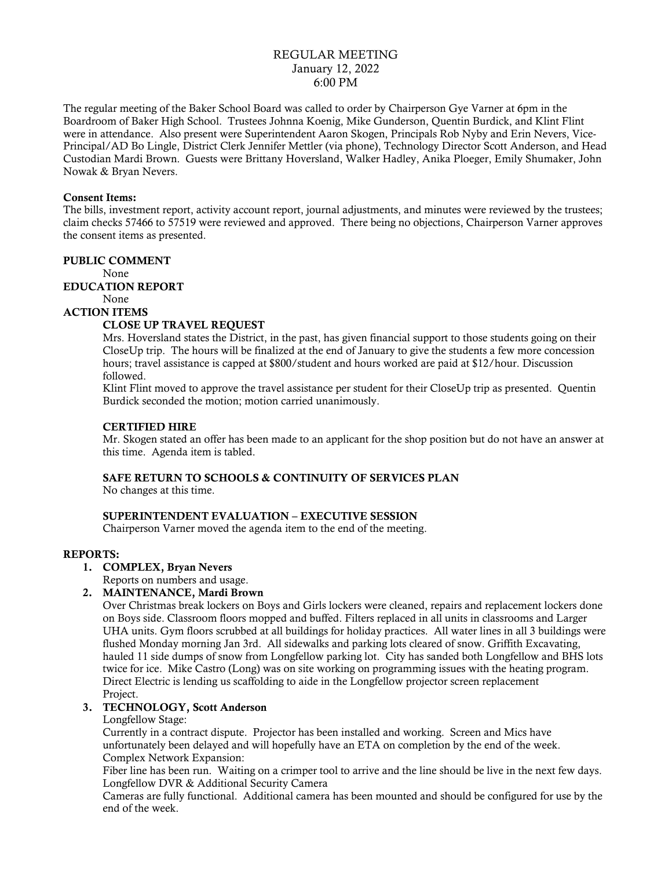# REGULAR MEETING January 12, 2022 6:00 PM

The regular meeting of the Baker School Board was called to order by Chairperson Gye Varner at 6pm in the Boardroom of Baker High School. Trustees Johnna Koenig, Mike Gunderson, Quentin Burdick, and Klint Flint were in attendance. Also present were Superintendent Aaron Skogen, Principals Rob Nyby and Erin Nevers, Vice-Principal/AD Bo Lingle, District Clerk Jennifer Mettler (via phone), Technology Director Scott Anderson, and Head Custodian Mardi Brown. Guests were Brittany Hoversland, Walker Hadley, Anika Ploeger, Emily Shumaker, John Nowak & Bryan Nevers.

#### Consent Items:

The bills, investment report, activity account report, journal adjustments, and minutes were reviewed by the trustees; claim checks 57466 to 57519 were reviewed and approved. There being no objections, Chairperson Varner approves the consent items as presented.

### PUBLIC COMMENT

None

# EDUCATION REPORT

None

#### ACTION ITEMS

### CLOSE UP TRAVEL REQUEST

Mrs. Hoversland states the District, in the past, has given financial support to those students going on their CloseUp trip. The hours will be finalized at the end of January to give the students a few more concession hours; travel assistance is capped at \$800/student and hours worked are paid at \$12/hour. Discussion followed.

Klint Flint moved to approve the travel assistance per student for their CloseUp trip as presented. Quentin Burdick seconded the motion; motion carried unanimously.

### CERTIFIED HIRE

Mr. Skogen stated an offer has been made to an applicant for the shop position but do not have an answer at this time. Agenda item is tabled.

### SAFE RETURN TO SCHOOLS & CONTINUITY OF SERVICES PLAN

No changes at this time.

### SUPERINTENDENT EVALUATION – EXECUTIVE SESSION

Chairperson Varner moved the agenda item to the end of the meeting.

#### REPORTS:

1. COMPLEX, Bryan Nevers

Reports on numbers and usage.

### 2. MAINTENANCE, Mardi Brown

Over Christmas break lockers on Boys and Girls lockers were cleaned, repairs and replacement lockers done on Boys side. Classroom floors mopped and buffed. Filters replaced in all units in classrooms and Larger UHA units. Gym floors scrubbed at all buildings for holiday practices. All water lines in all 3 buildings were flushed Monday morning Jan 3rd. All sidewalks and parking lots cleared of snow. Griffith Excavating, hauled 11 side dumps of snow from Longfellow parking lot. City has sanded both Longfellow and BHS lots twice for ice. Mike Castro (Long) was on site working on programming issues with the heating program. Direct Electric is lending us scaffolding to aide in the Longfellow projector screen replacement Project.

### 3. TECHNOLOGY, Scott Anderson

#### Longfellow Stage:

Currently in a contract dispute. Projector has been installed and working. Screen and Mics have unfortunately been delayed and will hopefully have an ETA on completion by the end of the week. Complex Network Expansion:

Fiber line has been run. Waiting on a crimper tool to arrive and the line should be live in the next few days. Longfellow DVR & Additional Security Camera

Cameras are fully functional. Additional camera has been mounted and should be configured for use by the end of the week.